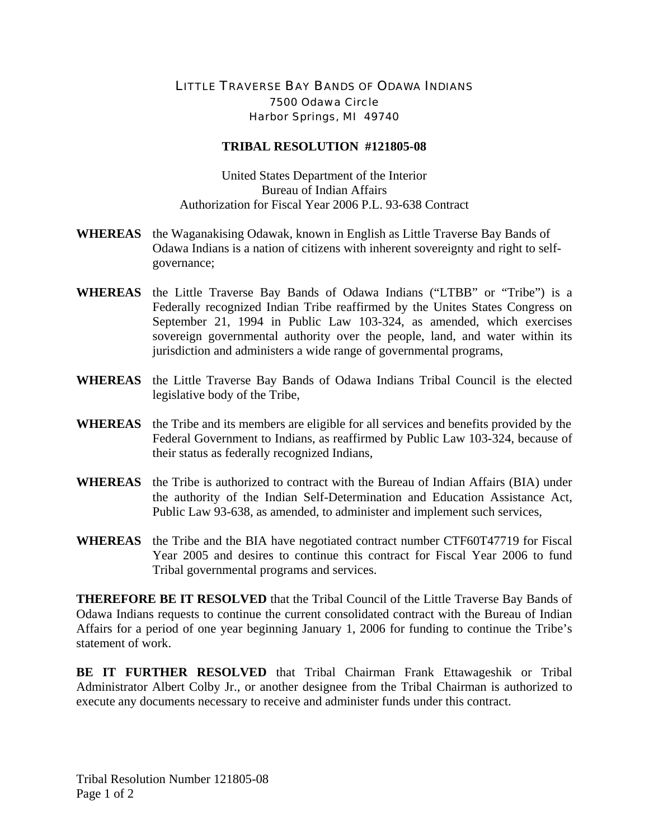## LITTLE TRAVERSE BAY BANDS OF ODAWA INDIANS 7500 Odawa Circle Harbor Springs, MI 49740

## **TRIBAL RESOLUTION #121805-08**

United States Department of the Interior Bureau of Indian Affairs Authorization for Fiscal Year 2006 P.L. 93-638 Contract

- **WHEREAS** the Waganakising Odawak, known in English as Little Traverse Bay Bands of Odawa Indians is a nation of citizens with inherent sovereignty and right to selfgovernance;
- **WHEREAS** the Little Traverse Bay Bands of Odawa Indians ("LTBB" or "Tribe") is a Federally recognized Indian Tribe reaffirmed by the Unites States Congress on September 21, 1994 in Public Law 103-324, as amended, which exercises sovereign governmental authority over the people, land, and water within its jurisdiction and administers a wide range of governmental programs,
- **WHEREAS** the Little Traverse Bay Bands of Odawa Indians Tribal Council is the elected legislative body of the Tribe,
- **WHEREAS** the Tribe and its members are eligible for all services and benefits provided by the Federal Government to Indians, as reaffirmed by Public Law 103-324, because of their status as federally recognized Indians,
- **WHEREAS** the Tribe is authorized to contract with the Bureau of Indian Affairs (BIA) under the authority of the Indian Self-Determination and Education Assistance Act, Public Law 93-638, as amended, to administer and implement such services,
- **WHEREAS** the Tribe and the BIA have negotiated contract number CTF60T47719 for Fiscal Year 2005 and desires to continue this contract for Fiscal Year 2006 to fund Tribal governmental programs and services.

**THEREFORE BE IT RESOLVED** that the Tribal Council of the Little Traverse Bay Bands of Odawa Indians requests to continue the current consolidated contract with the Bureau of Indian Affairs for a period of one year beginning January 1, 2006 for funding to continue the Tribe's statement of work.

**BE IT FURTHER RESOLVED** that Tribal Chairman Frank Ettawageshik or Tribal Administrator Albert Colby Jr., or another designee from the Tribal Chairman is authorized to execute any documents necessary to receive and administer funds under this contract.